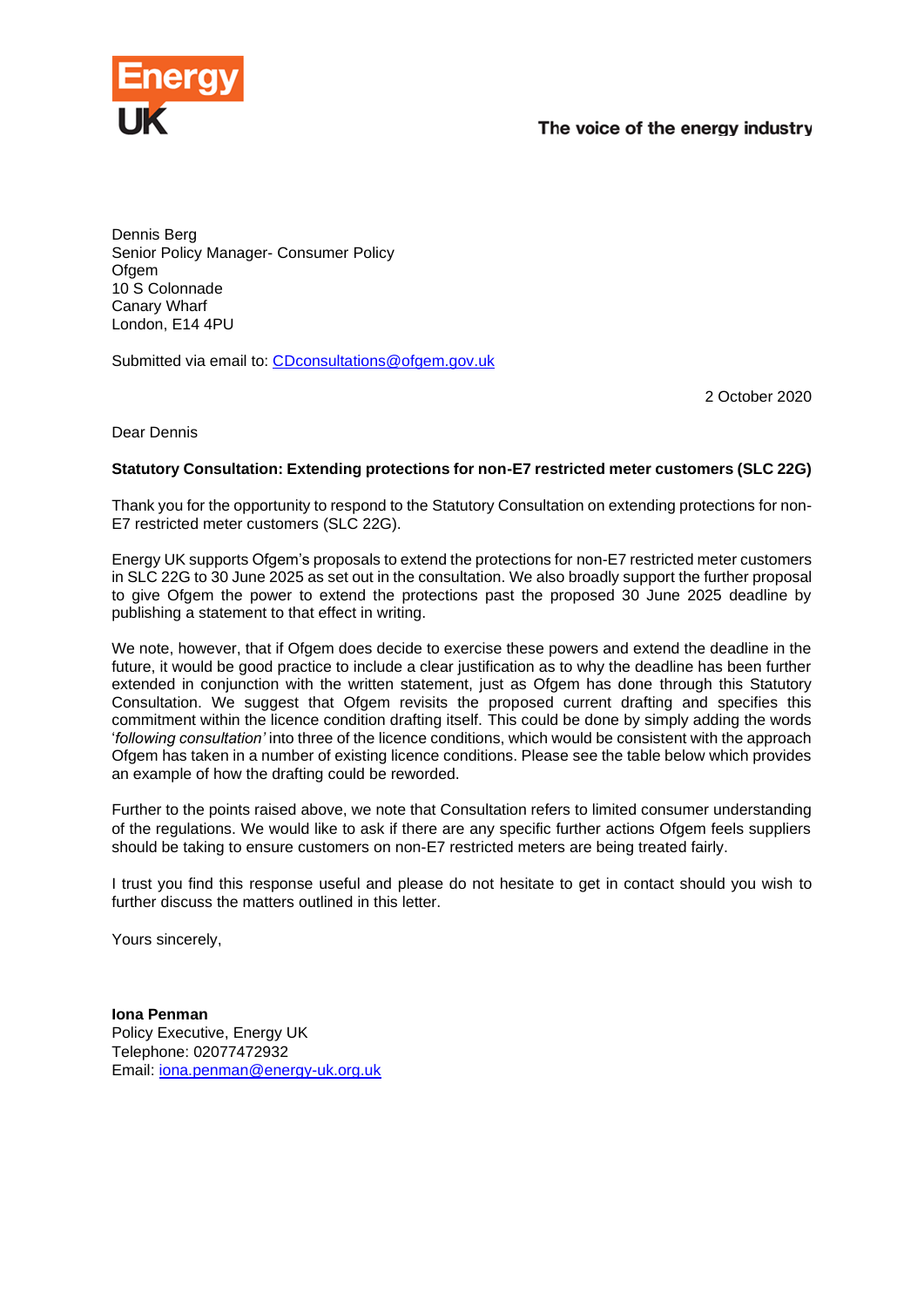

## The voice of the energy industry

Dennis Berg Senior Policy Manager- Consumer Policy Ofgem 10 S Colonnade Canary Wharf London, E14 4PU

Submitted via email to: [CDconsultations@ofgem.gov.uk](mailto:CDconsultations@ofgem.gov.uk)

2 October 2020

Dear Dennis

## **Statutory Consultation: Extending protections for non-E7 restricted meter customers (SLC 22G)**

Thank you for the opportunity to respond to the Statutory Consultation on extending protections for non-E7 restricted meter customers (SLC 22G).

Energy UK supports Ofgem's proposals to extend the protections for non-E7 restricted meter customers in SLC 22G to 30 June 2025 as set out in the consultation. We also broadly support the further proposal to give Ofgem the power to extend the protections past the proposed 30 June 2025 deadline by publishing a statement to that effect in writing.

We note, however, that if Ofgem does decide to exercise these powers and extend the deadline in the future, it would be good practice to include a clear justification as to why the deadline has been further extended in conjunction with the written statement, just as Ofgem has done through this Statutory Consultation. We suggest that Ofgem revisits the proposed current drafting and specifies this commitment within the licence condition drafting itself. This could be done by simply adding the words '*following consultation'* into three of the licence conditions, which would be consistent with the approach Ofgem has taken in a number of existing licence conditions. Please see the table below which provides an example of how the drafting could be reworded.

Further to the points raised above, we note that Consultation refers to limited consumer understanding of the regulations. We would like to ask if there are any specific further actions Ofgem feels suppliers should be taking to ensure customers on non-E7 restricted meters are being treated fairly.

I trust you find this response useful and please do not hesitate to get in contact should you wish to further discuss the matters outlined in this letter.

Yours sincerely,

**Iona Penman**  Policy Executive, Energy UK Telephone: 02077472932 Email: [iona.penman@energy-uk.org.uk](mailto:iona.penman@energy-uk.org.uk)